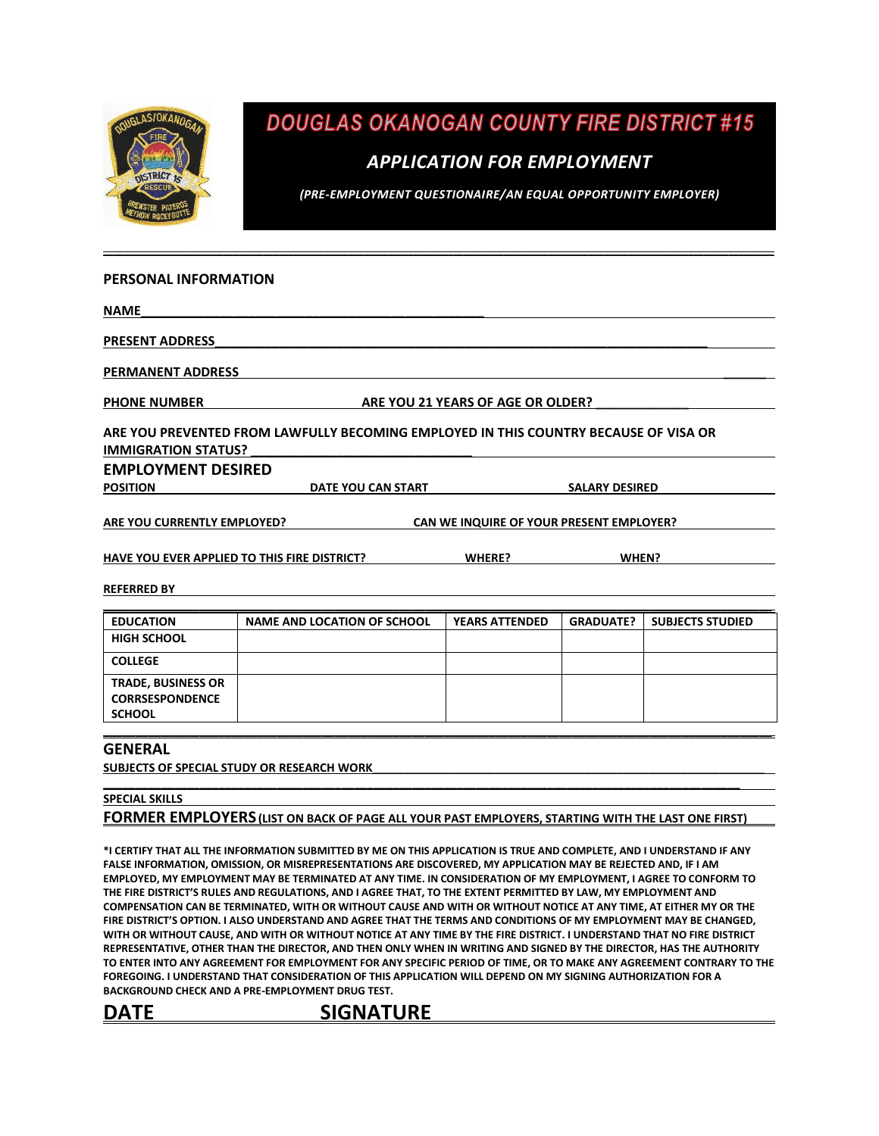

**DOUGLAS OKANOGAN COUNTY FIRE DISTRICT #15** 

### *APPLICATION FOR EMPLOYMENT*

*(PRE-EMPLOYMENT QUESTIONAIRE/AN EQUAL OPPORTUNITY EMPLOYER)*

#### **PERSONAL INFORMATION**

**NAME\_\_\_\_\_\_\_\_\_\_\_\_\_\_\_\_\_\_\_\_\_\_\_\_\_\_\_\_\_\_\_\_\_\_\_\_\_\_\_\_\_\_\_\_\_\_\_\_**

PRESENT ADDRESS

**PERMANENT ADDRESS \_\_\_\_\_\_**

PHONE NUMBER **ARE YOU 21 YEARS OF AGE OR OLDER?** 

**ARE YOU PREVENTED FROM LAWFULLY BECOMING EMPLOYED IN THIS COUNTRY BECAUSE OF VISA OR** 

**\_\_\_\_\_\_\_\_\_\_\_\_\_\_\_\_\_\_\_\_\_\_\_\_\_\_\_\_\_\_\_\_\_\_\_\_\_\_\_\_\_\_\_\_\_\_\_\_\_\_\_\_\_\_\_\_\_\_\_\_\_\_\_\_\_\_\_\_\_\_\_\_\_\_\_\_\_\_\_\_\_\_\_\_\_\_\_\_\_\_\_\_\_\_\_\_\_\_\_\_\_\_\_\_\_\_\_\_\_\_\_\_\_\_\_\_\_\_\_\_\_\_\_\_\_\_\_\_\_\_\_\_\_\_**

**IMMIGRATION STATUS?** 

**EMPLOYMENT DESIRED**

**POSITION DATE YOU CAN START SALARY DESIRED**

**ARE YOU CURRENTLY EMPLOYED? CAN WE INQUIRE OF YOUR PRESENT EMPLOYER?**

**HAVE YOU EVER APPLIED TO THIS FIRE DISTRICT? WHERE? WHEN?**

#### **REFERRED BY**

| <b>EDUCATION</b>                                                     | <b>NAME AND LOCATION OF SCHOOL</b> | <b>YEARS ATTENDED</b> | <b>GRADUATE?</b> | <b>SUBJECTS STUDIED</b> |
|----------------------------------------------------------------------|------------------------------------|-----------------------|------------------|-------------------------|
| <b>HIGH SCHOOL</b>                                                   |                                    |                       |                  |                         |
| <b>COLLEGE</b>                                                       |                                    |                       |                  |                         |
| <b>TRADE, BUSINESS OR</b><br><b>CORRSESPONDENCE</b><br><b>SCHOOL</b> |                                    |                       |                  |                         |

#### **GENERAL**

SUBJECTS OF SPECIAL STUDY OR RESEARCH WORK

#### **\_\_\_\_\_\_\_\_\_\_\_\_\_\_\_\_\_\_\_\_\_\_\_\_\_\_\_\_\_\_\_\_\_\_\_\_\_\_\_\_\_\_\_\_\_\_\_\_\_\_\_\_\_\_\_\_\_\_\_\_\_\_\_\_\_\_\_\_\_\_\_\_\_\_\_\_\_\_\_\_\_\_\_\_\_\_\_\_\_\_\_\_\_\_\_\_\_\_\_ SPECIAL SKILLS FORMER EMPLOYERS (LIST ON BACK OF PAGE ALL YOUR PAST EMPLOYERS, STARTING WITH THE LAST ONE FIRST)**

**\*I CERTIFY THAT ALL THE INFORMATION SUBMITTED BY ME ON THIS APPLICATION IS TRUE AND COMPLETE, AND I UNDERSTAND IF ANY FALSE INFORMATION, OMISSION, OR MISREPRESENTATIONS ARE DISCOVERED, MY APPLICATION MAY BE REJECTED AND, IF I AM EMPLOYED, MY EMPLOYMENT MAY BE TERMINATED AT ANY TIME. IN CONSIDERATION OF MY EMPLOYMENT, I AGREE TO CONFORM TO THE FIRE DISTRICT'S RULES AND REGULATIONS, AND I AGREE THAT, TO THE EXTENT PERMITTED BY LAW, MY EMPLOYMENT AND COMPENSATION CAN BE TERMINATED, WITH OR WITHOUT CAUSE AND WITH OR WITHOUT NOTICE AT ANY TIME, AT EITHER MY OR THE FIRE DISTRICT'S OPTION. I ALSO UNDERSTAND AND AGREE THAT THE TERMS AND CONDITIONS OF MY EMPLOYMENT MAY BE CHANGED, WITH OR WITHOUT CAUSE, AND WITH OR WITHOUT NOTICE AT ANY TIME BY THE FIRE DISTRICT. I UNDERSTAND THAT NO FIRE DISTRICT REPRESENTATIVE, OTHER THAN THE DIRECTOR, AND THEN ONLY WHEN IN WRITING AND SIGNED BY THE DIRECTOR, HAS THE AUTHORITY TO ENTER INTO ANY AGREEMENT FOR EMPLOYMENT FOR ANY SPECIFIC PERIOD OF TIME, OR TO MAKE ANY AGREEMENT CONTRARY TO THE FOREGOING. I UNDERSTAND THAT CONSIDERATION OF THIS APPLICATION WILL DEPEND ON MY SIGNING AUTHORIZATION FOR A BACKGROUND CHECK AND A PRE-EMPLOYMENT DRUG TEST.** 

DATE SIGNATURE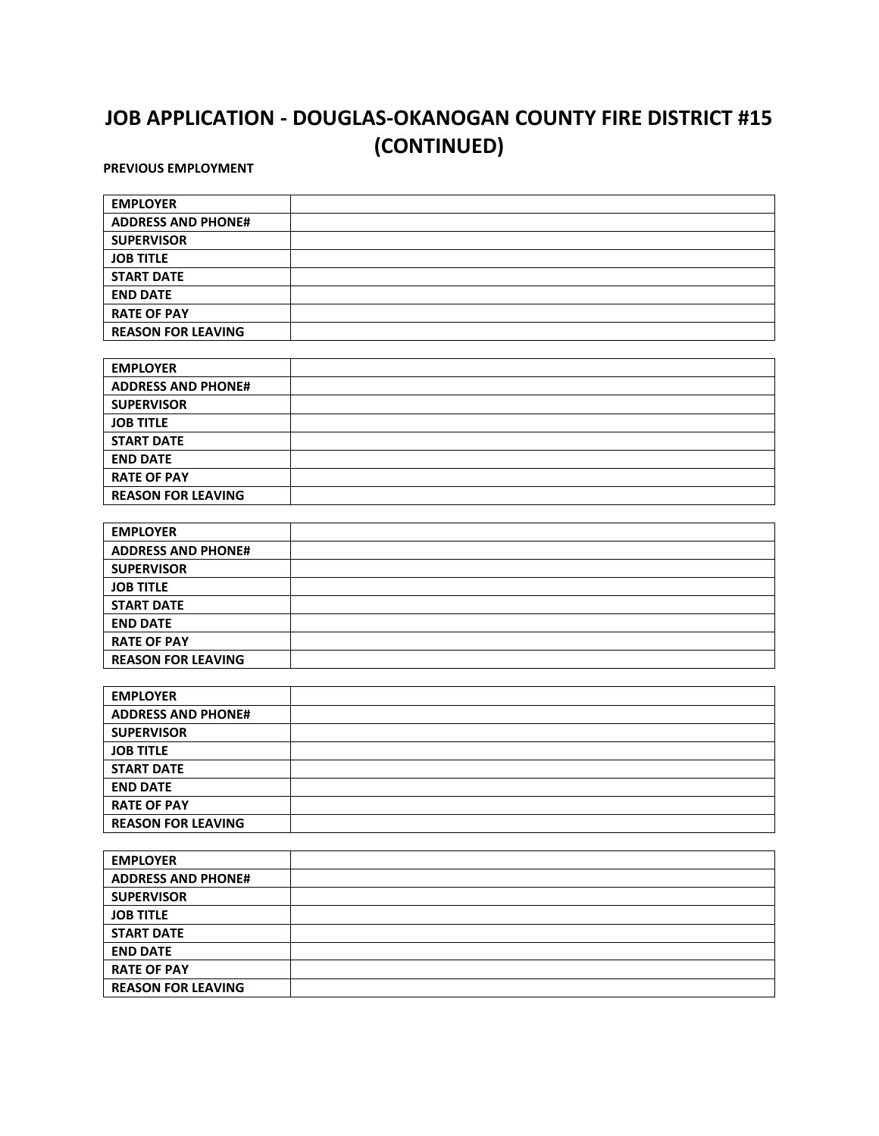# **JOB APPLICATION - DOUGLAS-OKANOGAN COUNTY FIRE DISTRICT #15 (CONTINUED)**

**PREVIOUS EMPLOYMENT**

 $\blacksquare$ 

| <b>EMPLOYER</b>           |  |
|---------------------------|--|
| <b>ADDRESS AND PHONE#</b> |  |
| <b>SUPERVISOR</b>         |  |
| <b>JOB TITLE</b>          |  |
| <b>START DATE</b>         |  |
| <b>END DATE</b>           |  |
| <b>RATE OF PAY</b>        |  |
| <b>REASON FOR LEAVING</b> |  |
|                           |  |
| <b>EMPLOYER</b>           |  |
| <b>ADDRESS AND PHONE#</b> |  |
| <b>SUPERVISOR</b>         |  |
| <b>JOB TITLE</b>          |  |
| <b>START DATE</b>         |  |
| <b>END DATE</b>           |  |
| <b>RATE OF PAY</b>        |  |
| <b>REASON FOR LEAVING</b> |  |

| <b>EMPLOYER</b>           |  |
|---------------------------|--|
| <b>ADDRESS AND PHONE#</b> |  |
| <b>SUPERVISOR</b>         |  |
| <b>JOB TITLE</b>          |  |
| <b>START DATE</b>         |  |
| <b>END DATE</b>           |  |
| <b>RATE OF PAY</b>        |  |
| <b>REASON FOR LEAVING</b> |  |

| <b>EMPLOYER</b>           |  |
|---------------------------|--|
| <b>ADDRESS AND PHONE#</b> |  |
| <b>SUPERVISOR</b>         |  |
| <b>JOB TITLE</b>          |  |
| <b>START DATE</b>         |  |
| <b>END DATE</b>           |  |
| <b>RATE OF PAY</b>        |  |
| <b>REASON FOR LEAVING</b> |  |

| <b>EMPLOYER</b>           |  |
|---------------------------|--|
| <b>ADDRESS AND PHONE#</b> |  |
| <b>SUPERVISOR</b>         |  |
| <b>JOB TITLE</b>          |  |
| <b>START DATE</b>         |  |
| <b>END DATE</b>           |  |
| <b>RATE OF PAY</b>        |  |
| <b>REASON FOR LEAVING</b> |  |